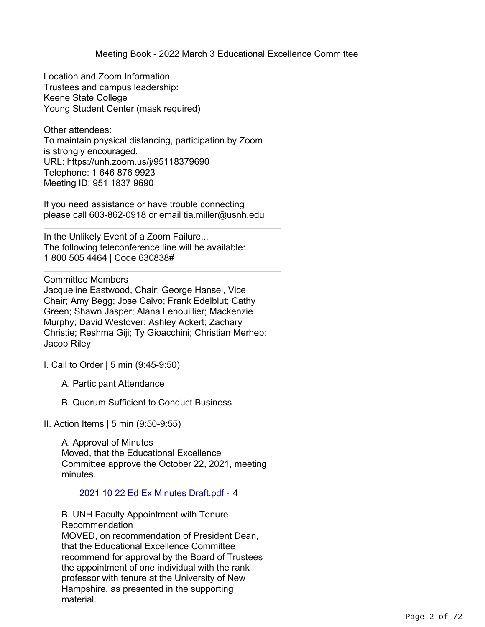Location and Zoom Information Trustees and campus leadership: Keene State College Young Student Center (mask required)

Other attendees: To maintain physical distancing, participation by Zoom is strongly encouraged. URL: https://unh.zoom.us/j/95118379690 Telephone: 1 646 876 9923 Meeting ID: 951 1837 9690

If you need assistance or have trouble connecting please call 603-862-0918 or email tia.miller@usnh.edu

In the Unlikely Event of a Zoom Failure... The following teleconference line will be available: 1 800 505 4464 | Code 630838#

Committee Members

Jacqueline Eastwood, Chair; George Hansel, Vice Chair; Amy Begg; Jose Calvo; Frank Edelblut; Cathy Green; Shawn Jasper; Alana Lehouillier; Mackenzie Murphy; David Westover; Ashley Ackert; Zachary Christie; Reshma Giji; Ty Gioacchini; Christian Merheb; Jacob Riley

I. Call to Order | 5 min (9:45-9:50)

- A. Participant Attendance
- B. Quorum Sufficient to Conduct Business

II. Action Items | 5 min (9:50-9:55)

A. Approval of Minutes Moved, that the Educational Excellence Committee approve the October 22, 2021, meeting minutes.

## 2021 10 22 Ed Ex Minutes Draft.pdf - 4

B. UNH Faculty Appointment with Tenure Recommendation MOVED, on recommendation of President Dean, that the Educational Excellence Committee recommend for approval by the Board of Trustees the appointment of one individual with the rank professor with tenure at the University of New Hampshire, as presented in the supporting material.